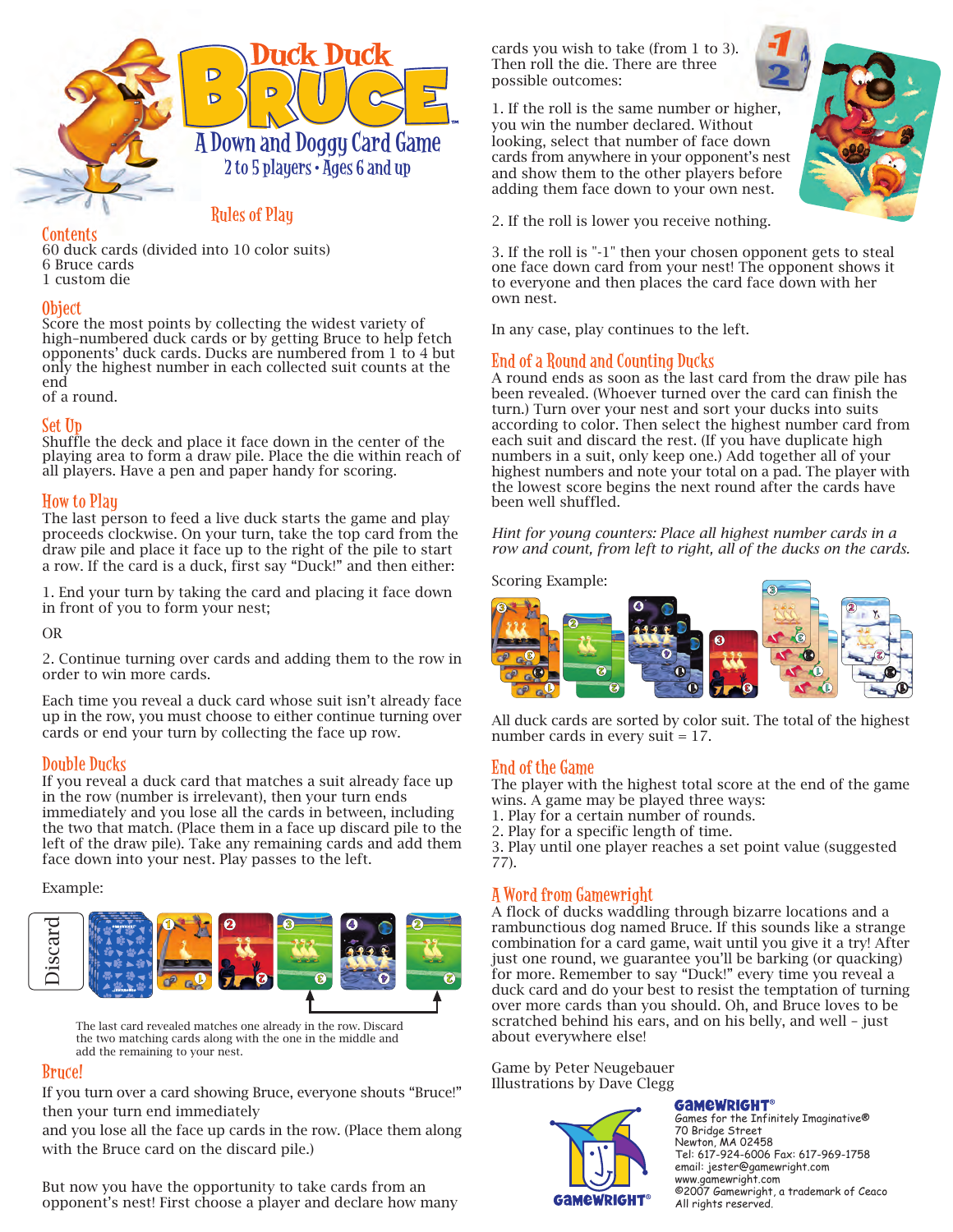

## **Contents**

60 duck cards (divided into 10 color suits) 6 Bruce cards 1 custom die

# Object

Score the most points by collecting the widest variety of high–numbered duck cards or by getting Bruce to help fetch opponents' duck cards. Ducks are numbered from 1 to 4 but only the highest number in each collected suit counts at the end

Rules of Play

of a round.

# Set Up

Shuffle the deck and place it face down in the center of the playing area to form a draw pile. Place the die within reach of all players. Have a pen and paper handy for scoring.

# How to Play

The last person to feed a live duck starts the game and play proceeds clockwise. On your turn, take the top card from the draw pile and place it face up to the right of the pile to start a row. If the card is a duck, first say "Duck!" and then either:

1. End your turn by taking the card and placing it face down in front of you to form your nest;

## OR

2. Continue turning over cards and adding them to the row in order to win more cards.

Each time you reveal a duck card whose suit isn't already face up in the row, you must choose to either continue turning over cards or end your turn by collecting the face up row.

# Double Ducks

If you reveal a duck card that matches a suit already face up in the row (number is irrelevant), then your turn ends immediately and you lose all the cards in between, including the two that match. (Place them in a face up discard pile to the left of the draw pile). Take any remaining cards and add them face down into your nest. Play passes to the left.

## Example:



The last card revealed matches one already in the row. Discard the two matching cards along with the one in the middle and add the remaining to your nest.

# Bruce!

If you turn over a card showing Bruce, everyone shouts "Bruce!" then your turn end immediately

and you lose all the face up cards in the row. (Place them along with the Bruce card on the discard pile.)

But now you have the opportunity to take cards from an opponent's nest! First choose a player and declare how many cards you wish to take (from 1 to 3). Then roll the die. There are three possible outcomes:

1. If the roll is the same number or higher, you win the number declared. Without looking, select that number of face down cards from anywhere in your opponent's nest and show them to the other players before adding them face down to your own nest.



2. If the roll is lower you receive nothing.

3. If the roll is "-1" then your chosen opponent gets to steal one face down card from your nest! The opponent shows it to everyone and then places the card face down with her own nest.

In any case, play continues to the left.

# End of a Round and Counting Ducks

A round ends as soon as the last card from the draw pile has been revealed. (Whoever turned over the card can finish the turn.) Turn over your nest and sort your ducks into suits according to color. Then select the highest number card from each suit and discard the rest. (If you have duplicate high numbers in a suit, only keep one.) Add together all of your highest numbers and note your total on a pad. The player with the lowest score begins the next round after the cards have been well shuffled.

*Hint for young counters: Place all highest number cards in a row and count, from left to right, all of the ducks on the cards.*

Scoring Example:



All duck cards are sorted by color suit. The total of the highest number cards in every suit = 17.

## End of the Game

The player with the highest total score at the end of the game wins. A game may be played three ways:

- 1. Play for a certain number of rounds.
- 2. Play for a specific length of time.

3. Play until one player reaches a set point value (suggested 77).

# A Word from Gamewright

A flock of ducks waddling through bizarre locations and a rambunctious dog named Bruce. If this sounds like a strange combination for a card game, wait until you give it a try! After just one round, we guarantee you'll be barking (or quacking) for more. Remember to say "Duck!" every time you reveal a duck card and do your best to resist the temptation of turning over more cards than you should. Oh, and Bruce loves to be scratched behind his ears, and on his belly, and well – just about everywhere else!

Game by Peter Neugebauer Illustrations by Dave Clegg



## **GAMEWRIGHT®**

Games for the Infinitely Imaginative® 70 Bridge Street Newton, MA 02458 Tel: 617-924-6006 Fax: 617-969-1758 email: jester@gamewright.com www.gamewright.com ©2007 Gamewright, a trademark of Ceaco All rights reserved.